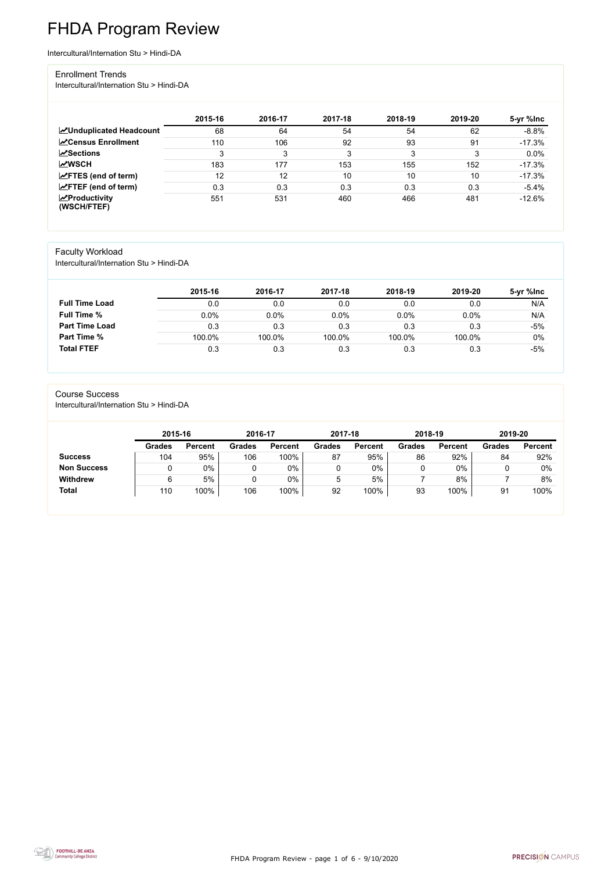FHDA Program Review - page 1 of 6 - 9/10/2020



# FHDA Program Review

Intercultural/Internation Stu > Hindi-DA

#### Enrollment Trends

Intercultural/Internation Stu > Hindi-DA

|                                                  | 2015-16 | 2016-17 | 2017-18 | 2018-19 | 2019-20 | 5-yr %lnc |
|--------------------------------------------------|---------|---------|---------|---------|---------|-----------|
| <b>ZUnduplicated Headcount</b>                   | 68      | 64      | 54      | 54      | 62      | $-8.8%$   |
| <b>ZCensus Enrollment</b>                        | 110     | 106     | 92      | 93      | 91      | $-17.3%$  |
| <b>ZSections</b>                                 | 3       | 3       | 3       | 3       | ົ       | 0.0%      |
| <b>MWSCH</b>                                     | 183     | 177     | 153     | 155     | 152     | $-17.3%$  |
| $\angle$ FTES (end of term)                      | 12      | 12      | 10      | 10      | 10      | $-17.3%$  |
| $\angle$ FTEF (end of term)                      | 0.3     | 0.3     | 0.3     | 0.3     | 0.3     | $-5.4%$   |
| $\sqrt{\frac{1}{2}}$ Productivity<br>(WSCH/FTEF) | 551     | 531     | 460     | 466     | 481     | $-12.6%$  |

## Faculty Workload

Intercultural/Internation Stu > Hindi-DA

|                       | 2015-16 | 2016-17 | 2017-18 | 2018-19 | 2019-20 | 5-yr %lnc |
|-----------------------|---------|---------|---------|---------|---------|-----------|
| <b>Full Time Load</b> | 0.0     | 0.0     | 0.0     | 0.0     | 0.0     | N/A       |
| <b>Full Time %</b>    | 0.0%    | 0.0%    | 0.0%    | 0.0%    | 0.0%    | N/A       |
| <b>Part Time Load</b> | 0.3     | 0.3     | 0.3     | 0.3     | 0.3     | -5%       |
| <b>Part Time %</b>    | 100.0%  | 100.0%  | 100.0%  | 100.0%  | 100.0%  | 0%        |
| <b>Total FTEF</b>     | 0.3     | 0.3     | 0.3     | 0.3     | 0.3     | $-5%$     |

#### Course Success

Intercultural/Internation Stu > Hindi-DA

| 2015-16       |                | 2016-17 |                | 2017-18       |                | 2018-19       |                | 2019-20       |                |
|---------------|----------------|---------|----------------|---------------|----------------|---------------|----------------|---------------|----------------|
| <b>Grades</b> | <b>Percent</b> | Grades  | <b>Percent</b> | <b>Grades</b> | <b>Percent</b> | <b>Grades</b> | <b>Percent</b> | <b>Grades</b> | <b>Percent</b> |
| 104           | 95%            | 106     | 100%           | 87            | 95%            | 86            | 92%            | 84            | 92%            |
|               | $0\%$          |         | 0%             |               | 0%             |               | 0%             |               | 0%             |
| 6             | 5%             |         | 0%             | 5             | 5%             |               | 8%             |               | 8%             |
| 110           | 100%           | 106     | 100%           | 92            | 100%           | 93            | 100%           | 91            | 100%           |
|               |                |         |                |               |                |               |                |               |                |

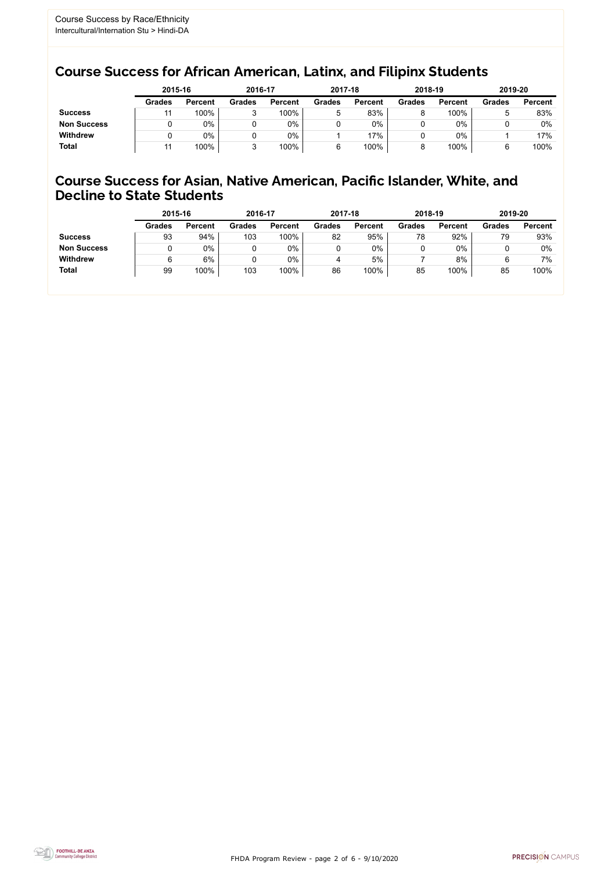FHDA Program Review - page 2 of 6 - 9/10/2020



## Course Success for African American, Latinx, and Filipinx Students

## Course Success for Asian, Native American, Pacific Islander, White, and Decline to State Students

|                    | 2015-16       |                | 2016-17       |                | 2017-18       |                | 2018-19       |                | 2019-20       |                |
|--------------------|---------------|----------------|---------------|----------------|---------------|----------------|---------------|----------------|---------------|----------------|
|                    | <b>Grades</b> | <b>Percent</b> | <b>Grades</b> | <b>Percent</b> | <b>Grades</b> | <b>Percent</b> | <b>Grades</b> | <b>Percent</b> | <b>Grades</b> | <b>Percent</b> |
| <b>Success</b>     |               | 100%           | ື             | 100%           | 5             | 83%            |               | 100%           |               | 83%            |
| <b>Non Success</b> |               | $0\%$          |               | 0%             |               | 0%             |               | 0%             |               | 0%             |
| <b>Withdrew</b>    |               | $0\%$          |               | $0\%$          |               | 17%            |               | 0%             |               | 17%            |
| <b>Total</b>       |               | 100%           |               | 100%           |               | 100%           |               | 100%           |               | 100%           |

|                    | 2015-16       |                | 2016-17       |                | 2017-18       |                | 2018-19       |                | 2019-20       |                |
|--------------------|---------------|----------------|---------------|----------------|---------------|----------------|---------------|----------------|---------------|----------------|
|                    | <b>Grades</b> | <b>Percent</b> | <b>Grades</b> | <b>Percent</b> | <b>Grades</b> | <b>Percent</b> | <b>Grades</b> | <b>Percent</b> | <b>Grades</b> | <b>Percent</b> |
| <b>Success</b>     | 93            | 94%            | 103           | 100%           | 82            | 95%            | 78            | 92%            | 79            | 93%            |
| <b>Non Success</b> |               | $0\%$          |               | 0%             |               | 0%             |               | 0%             |               | 0%             |
| <b>Withdrew</b>    | 6             | 6%             |               | 0%             | 4             | 5%             |               | 8%             | 6             | 7%             |
| <b>Total</b>       | 99            | 100%           | 103           | 100%           | 86            | 100%           | 85            | 100%           | 85            | 100%           |
|                    |               |                |               |                |               |                |               |                |               |                |

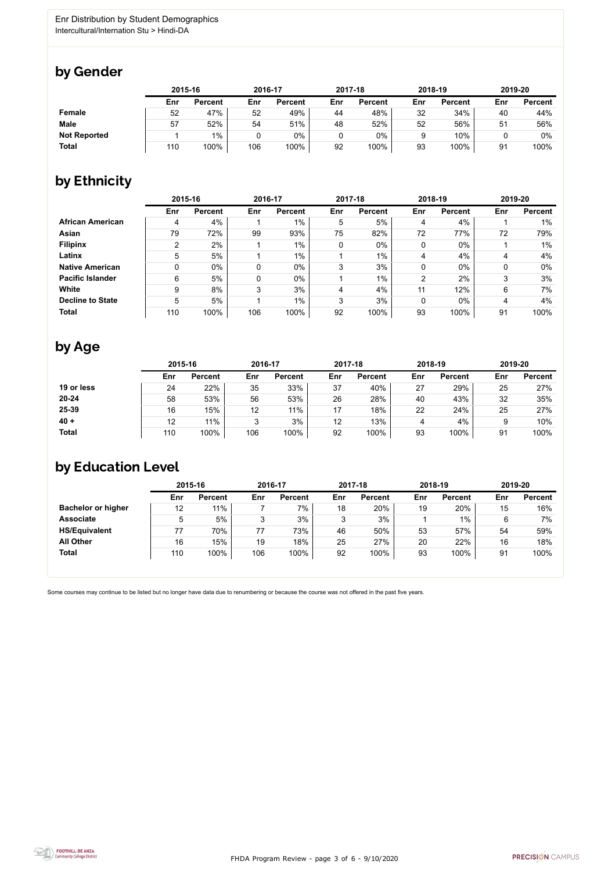

Some courses may continue to be listed but no longer have data due to renumbering or because the course was not offered in the past five years.



## by Gender

|                     |     | 2015-16        |     | 2016-17        |     | 2017-18        |     | 2018-19        | 2019-20 |                |
|---------------------|-----|----------------|-----|----------------|-----|----------------|-----|----------------|---------|----------------|
|                     | Enr | <b>Percent</b> | Enr | <b>Percent</b> | Enr | <b>Percent</b> | Enr | <b>Percent</b> | Enr     | <b>Percent</b> |
| Female              | 52  | 47%            | 52  | 49%            | 44  | 48%            | 32  | 34%            | 40      | 44%            |
| <b>Male</b>         | 57  | 52%            | 54  | 51%            | 48  | 52%            | 52  | 56%            | 51      | 56%            |
| <b>Not Reported</b> |     | $1\%$          | 0   | 0%             | υ   | 0%             |     | 10%            |         | 0%             |
| <b>Total</b>        | 110 | 100%           | 106 | 100%           | 92  | 100%           | 93  | 100%           | 91      | 100%           |

# by Ethnicity

|                         | 2015-16 |                |     | 2016-17        |             | 2017-18        |            | 2018-19        | 2019-20 |                |
|-------------------------|---------|----------------|-----|----------------|-------------|----------------|------------|----------------|---------|----------------|
|                         | Enr     | <b>Percent</b> | Enr | <b>Percent</b> | Enr         | <b>Percent</b> | <b>Enr</b> | <b>Percent</b> | Enr     | <b>Percent</b> |
| <b>African American</b> | 4       | 4%             |     | $1\%$          | 5           | 5%             | 4          | 4%             |         | 1%             |
| Asian                   | 79      | 72%            | 99  | 93%            | 75          | 82%            | 72         | 77%            | 72      | 79%            |
| <b>Filipinx</b>         | 2       | 2%             |     | $1\%$          | $\mathbf 0$ | $0\%$          | 0          | $0\%$          |         | 1%             |
| Latinx                  | 5       | 5%             |     | $1\%$          |             | $1\%$          | 4          | 4%             |         | 4%             |
| <b>Native American</b>  | 0       | $0\%$          |     | $0\%$          | 3           | 3%             | 0          | $0\%$          |         | 0%             |
| <b>Pacific Islander</b> | 6       | 5%             | 0   | $0\%$          |             | 1%             | 2          | 2%             | 3       | 3%             |
| White                   | 9       | 8%             | 3   | 3%             | 4           | 4%             | 11         | 12%            | 6       | 7%             |
| <b>Decline to State</b> | 5       | 5%             |     | $1\%$          | 3           | 3%             | 0          | $0\%$          | 4       | 4%             |
| <b>Total</b>            | 110     | 100%           | 106 | 100%           | 92          | 100%           | 93         | 100%           | 91      | 100%           |

## by Age

|              | 2015-16 |                |     | 2016-17        |     | 2017-18        |     | 2018-19        | 2019-20 |                |
|--------------|---------|----------------|-----|----------------|-----|----------------|-----|----------------|---------|----------------|
|              | Enr     | <b>Percent</b> | Enr | <b>Percent</b> | Enr | <b>Percent</b> | Enr | <b>Percent</b> | Enr     | <b>Percent</b> |
| 19 or less   | 24      | 22%            | 35  | 33%            | 37  | 40%            | 27  | 29%            | 25      | 27%            |
| $20 - 24$    | 58      | 53%            | 56  | 53%            | 26  | 28%            | 40  | 43%            | 32      | 35%            |
| 25-39        | 16      | 15%            | 12  | 11%            | 17  | 18%            | 22  | 24%            | 25      | 27%            |
| $40 +$       | 12      | 11%            |     | 3%             | 12  | 13%            | 4   | 4%             |         | 10%            |
| <b>Total</b> | 110     | 100%           | 106 | 100%           | 92  | 100%           | 93  | 100%           | 91      | 100%           |

# by Education Level

|                           | 2015-16 |                |     | 2016-17        |     | 2017-18        | 2018-19 |                | 2019-20 |                |
|---------------------------|---------|----------------|-----|----------------|-----|----------------|---------|----------------|---------|----------------|
|                           | Enr     | <b>Percent</b> | Enr | <b>Percent</b> | Enr | <b>Percent</b> | Enr     | <b>Percent</b> | Enr     | <b>Percent</b> |
| <b>Bachelor or higher</b> | 12      | 11%            |     | 7%             | 18  | 20%            | 19      | 20%            | 15      | 16%            |
| <b>Associate</b>          | 5       | 5%             |     | 3%             | ົ   | 3%             |         | 1%             | 6       | 7%             |
| <b>HS/Equivalent</b>      | 77      | 70%            | 77  | 73%            | 46  | 50%            | 53      | 57%            | 54      | 59%            |
| <b>All Other</b>          | 16      | 15%            | 19  | 18%            | 25  | 27%            | 20      | 22%            | 16      | 18%            |
| <b>Total</b>              | 110     | 100%           | 106 | 100%           | 92  | 100%           | 93      | 100%           | 91      | 100%           |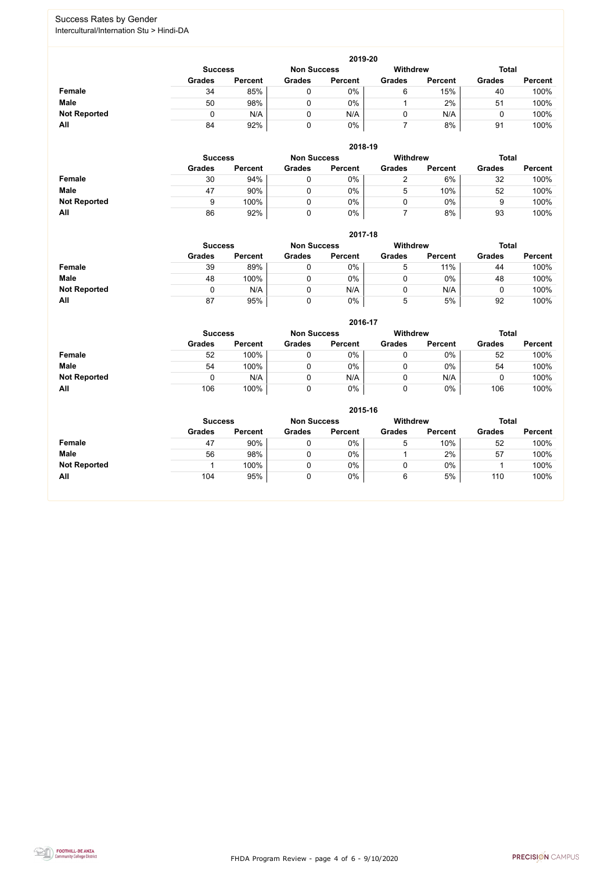FHDA Program Review - page 4 of 6 - 9/10/2020



## Success Rates by Gender Intercultural/Internation Stu > Hindi-DA

|                     | 2019-20                                                          |                |               |                |               |                |               |                |  |  |  |  |  |
|---------------------|------------------------------------------------------------------|----------------|---------------|----------------|---------------|----------------|---------------|----------------|--|--|--|--|--|
|                     | Withdrew<br><b>Total</b><br><b>Non Success</b><br><b>Success</b> |                |               |                |               |                |               |                |  |  |  |  |  |
|                     | <b>Grades</b>                                                    | <b>Percent</b> | <b>Grades</b> | <b>Percent</b> | <b>Grades</b> | <b>Percent</b> | <b>Grades</b> | <b>Percent</b> |  |  |  |  |  |
| Female              | 34                                                               | 85%            |               | $0\%$          | 6             | 15%            | 40            | 100%           |  |  |  |  |  |
| <b>Male</b>         | 50                                                               | 98%            |               | $0\%$          |               | 2%             | 51            | 100%           |  |  |  |  |  |
| <b>Not Reported</b> |                                                                  | N/A            | 0             | N/A            |               | N/A            |               | 100%           |  |  |  |  |  |
| All                 | 84                                                               | 92%            |               | 0%             |               | 8%             | 91            | 100%           |  |  |  |  |  |

|                     |               | 2018-19                              |               |                |               |                 |               |                |  |  |  |  |  |  |
|---------------------|---------------|--------------------------------------|---------------|----------------|---------------|-----------------|---------------|----------------|--|--|--|--|--|--|
|                     |               | <b>Non Success</b><br><b>Success</b> |               |                |               | <b>Withdrew</b> | <b>Total</b>  |                |  |  |  |  |  |  |
|                     | <b>Grades</b> | <b>Percent</b>                       | <b>Grades</b> | <b>Percent</b> | <b>Grades</b> | <b>Percent</b>  | <b>Grades</b> | <b>Percent</b> |  |  |  |  |  |  |
| <b>Female</b>       | 30            | 94%                                  |               | 0%             |               | 6%              | 32            | 100%           |  |  |  |  |  |  |
| <b>Male</b>         | 47            | 90%                                  |               | $0\%$          | b             | 10%             | 52            | 100%           |  |  |  |  |  |  |
| <b>Not Reported</b> | 9             | 100%                                 |               | $0\%$          |               | $0\%$           |               | 100%           |  |  |  |  |  |  |
| All                 | 86            | 92%                                  |               | 0%             |               | 8%              | 93            | 100%           |  |  |  |  |  |  |

|                     | 2017-18                                                                 |                |               |                |               |                |               |                |  |  |  |  |  |
|---------------------|-------------------------------------------------------------------------|----------------|---------------|----------------|---------------|----------------|---------------|----------------|--|--|--|--|--|
|                     | <b>Total</b><br><b>Withdrew</b><br><b>Non Success</b><br><b>Success</b> |                |               |                |               |                |               |                |  |  |  |  |  |
|                     | <b>Grades</b>                                                           | <b>Percent</b> | <b>Grades</b> | <b>Percent</b> | <b>Grades</b> | <b>Percent</b> | <b>Grades</b> | <b>Percent</b> |  |  |  |  |  |
| <b>Female</b>       | 39                                                                      | 89%            | 0             | 0%             | 5             | 11%            | 44            | 100%           |  |  |  |  |  |
| <b>Male</b>         | 48                                                                      | 100%           | 0             | 0%             |               | $0\%$          | 48            | 100%           |  |  |  |  |  |
| <b>Not Reported</b> |                                                                         | N/A            | 0             | N/A            | 0             | N/A            | ັ             | 100%           |  |  |  |  |  |
| All                 | 87                                                                      | 95%            | 0             | 0%             | 5             | 5%             | 92            | 100%           |  |  |  |  |  |

|                     |               | 2016-17        |               |                |                 |                |               |                |  |  |
|---------------------|---------------|----------------|---------------|----------------|-----------------|----------------|---------------|----------------|--|--|
|                     |               | <b>Success</b> |               |                | <b>Withdrew</b> |                | <b>Total</b>  |                |  |  |
|                     | <b>Grades</b> | <b>Percent</b> | <b>Grades</b> | <b>Percent</b> | <b>Grades</b>   | <b>Percent</b> | <b>Grades</b> | <b>Percent</b> |  |  |
| Female              | 52            | 100%           |               | 0%             |                 | $0\%$          | 52            | 100%           |  |  |
| <b>Male</b>         | 54            | 100%           |               | 0%             | U               | $0\%$          | 54            | 100%           |  |  |
| <b>Not Reported</b> |               | N/A            |               | N/A            |                 | N/A            |               | 100%           |  |  |
| <b>All</b>          | 106           | 100%           |               | 0%             |                 | $0\%$          | 106           | 100%           |  |  |

|                     |                | 2015-16            |               |                |               |                |               |                |  |  |  |
|---------------------|----------------|--------------------|---------------|----------------|---------------|----------------|---------------|----------------|--|--|--|
|                     | <b>Success</b> | <b>Non Success</b> |               | Withdrew       |               | <b>Total</b>   |               |                |  |  |  |
|                     | <b>Grades</b>  | <b>Percent</b>     | <b>Grades</b> | <b>Percent</b> | <b>Grades</b> | <b>Percent</b> | <b>Grades</b> | <b>Percent</b> |  |  |  |
| Female              | 47             | 90%                | 0             | 0%             | 5             | 10%            | 52            | 100%           |  |  |  |
| <b>Male</b>         | 56             | 98%                | 0             | 0%             |               | 2%             | 57            | 100%           |  |  |  |
| <b>Not Reported</b> |                | 100%               | 0             | $0\%$          | ν             | $0\%$          |               | 100%           |  |  |  |
| All                 | 104            | 95%                | 0             | $0\%$          | 6             | 5%             | 110           | 100%           |  |  |  |

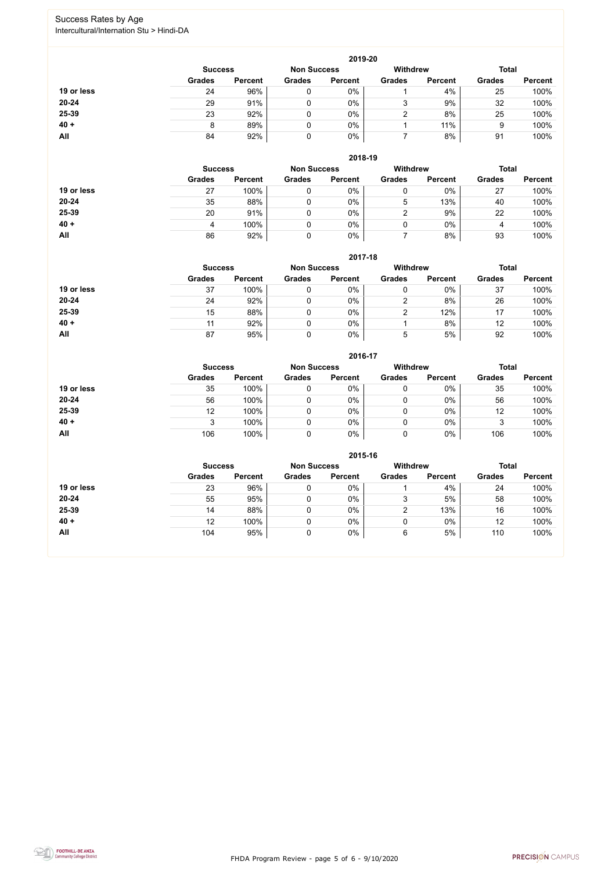FHDA Program Review - page 5 of 6 - 9/10/2020



### Success Rates by Age Intercultural/Internation Stu > Hindi-DA

|            | 2019-20        |                    |               |                 |               |                |               |                |  |
|------------|----------------|--------------------|---------------|-----------------|---------------|----------------|---------------|----------------|--|
|            | <b>Success</b> | <b>Non Success</b> |               | <b>Withdrew</b> |               | <b>Total</b>   |               |                |  |
|            | <b>Grades</b>  | <b>Percent</b>     | <b>Grades</b> | <b>Percent</b>  | <b>Grades</b> | <b>Percent</b> | <b>Grades</b> | <b>Percent</b> |  |
| 19 or less | 24             | 96%                |               | 0%              |               | 4%             | 25            | 100%           |  |
| $20 - 24$  | 29             | 91%                |               | 0%              | 3             | 9%             | 32            | 100%           |  |
| 25-39      | 23             | 92%                |               | $0\%$           |               | 8%             | 25            | 100%           |  |
| $40 +$     | 8              | 89%                |               | 0%              |               | 11%            | 9             | 100%           |  |
| All        | 84             | 92%                | 0             | 0%              |               | 8%             | 91            | 100%           |  |

|            |                |                |                    | 2018-19        |               |                |               |                |
|------------|----------------|----------------|--------------------|----------------|---------------|----------------|---------------|----------------|
|            | <b>Success</b> |                | <b>Non Success</b> |                | Withdrew      |                | <b>Total</b>  |                |
|            | <b>Grades</b>  | <b>Percent</b> | <b>Grades</b>      | <b>Percent</b> | <b>Grades</b> | <b>Percent</b> | <b>Grades</b> | <b>Percent</b> |
| 19 or less | 27             | 100%           | 0                  | $0\%$          | 0             | $0\%$          | 27            | 100%           |
| $20 - 24$  | 35             | 88%            |                    | $0\%$          | 5             | 13%            | 40            | 100%           |
| 25-39      | 20             | 91%            |                    | $0\%$          | າ             | 9%             | 22            | 100%           |
| $40 +$     | 4              | 100%           |                    | $0\%$          | 0             | $0\%$          | 4             | 100%           |
| All        | 86             | 92%            |                    | $0\%$          |               | 8%             | 93            | 100%           |

### **2017-18**

|            |                |                |                    | ZUT 1-10       |                 |                |               |                |
|------------|----------------|----------------|--------------------|----------------|-----------------|----------------|---------------|----------------|
|            | <b>Success</b> |                | <b>Non Success</b> |                | <b>Withdrew</b> |                | <b>Total</b>  |                |
|            | <b>Grades</b>  | <b>Percent</b> | <b>Grades</b>      | <b>Percent</b> | <b>Grades</b>   | <b>Percent</b> | <b>Grades</b> | <b>Percent</b> |
| 19 or less | 37             | 100%           |                    | 0%             |                 | $0\%$          | 37            | 100%           |
| $20 - 24$  | 24             | 92%            |                    | 0%             |                 | 8%             | 26            | 100%           |
| 25-39      | 15             | 88%            |                    | 0%             |                 | 12%            | 17            | 100%           |
| $40 +$     |                | 92%            |                    | 0%             |                 | 8%             | 12            | 100%           |
| All        | 87             | 95%            |                    | 0%             | ხ               | 5%             | 92            | 100%           |

#### **2016-17**



|            |                |                |                    | <b>ZUID-17</b> |                 |                |               |                |
|------------|----------------|----------------|--------------------|----------------|-----------------|----------------|---------------|----------------|
|            | <b>Success</b> |                | <b>Non Success</b> |                | <b>Withdrew</b> |                | <b>Total</b>  |                |
|            | <b>Grades</b>  | <b>Percent</b> | <b>Grades</b>      | <b>Percent</b> | <b>Grades</b>   | <b>Percent</b> | <b>Grades</b> | <b>Percent</b> |
| 19 or less | 35             | 100%           |                    | $0\%$          | 0               | 0%             | 35            | 100%           |
| 20-24      | 56             | 100%           |                    | 0%             | 0               | $0\%$          | 56            | 100%           |
| 25-39      | 12             | 100%           |                    | 0%             | 0               | $0\%$          | 12            | 100%           |
| $40 +$     |                | 100%           |                    | 0%             | 0               | 0%             |               | 100%           |
| <b>All</b> | 106            | 100%           |                    | $0\%$          | 0               | 0%             | 106           | 100%           |

|            | 2015-16                              |                |               |                |                 |                |               |                |  |  |
|------------|--------------------------------------|----------------|---------------|----------------|-----------------|----------------|---------------|----------------|--|--|
|            | <b>Non Success</b><br><b>Success</b> |                |               |                | <b>Withdrew</b> |                | <b>Total</b>  |                |  |  |
|            | <b>Grades</b>                        | <b>Percent</b> | <b>Grades</b> | <b>Percent</b> | <b>Grades</b>   | <b>Percent</b> | <b>Grades</b> | <b>Percent</b> |  |  |
| 19 or less | 23                                   | 96%            | ν             | 0%             |                 | 4%             | 24            | 100%           |  |  |
| $20 - 24$  | 55                                   | 95%            | 0             | 0%             |                 | 5%             | 58            | 100%           |  |  |
| 25-39      | 14                                   | 88%            |               | 0%             |                 | 13%            | 16            | 100%           |  |  |
| $40 +$     | 12                                   | 100%           | υ             | 0%             |                 | $0\%$          | 12            | 100%           |  |  |
| All        | 104                                  | 95%            | u             | 0%             | 6               | 5%             | 110           | 100%           |  |  |